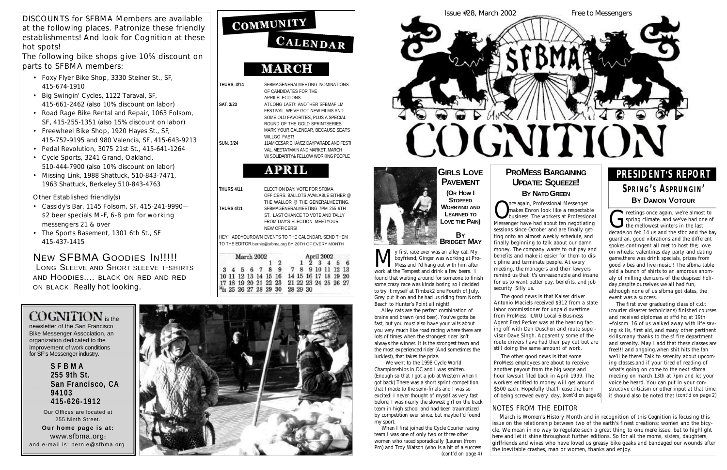|                    | CALENDAR                                                                                                                                                                                                   |
|--------------------|------------------------------------------------------------------------------------------------------------------------------------------------------------------------------------------------------------|
|                    | <b>MARCH</b>                                                                                                                                                                                               |
| <b>THURS, 3/14</b> | SFBMAGENERALMEETING NOMINATIONS<br>OF CANDIDATES FOR THE<br><b>APRILELECTIONS</b>                                                                                                                          |
| <b>SAT. 3/23</b>   | AT LONG LAST!: ANOTHER SFBMAFILM<br>FESTIVAL, WE'VE GOT NEW FILMS AND<br>SOME OLD FAVORITES. PLUS A SPECIAL<br>ROUND OF THE GOLD SPRINTSERIES.<br>MARK YOUR CALENDAR, BECAUSE SEATS<br><b>WILLGO FAST!</b> |
| <b>SUN. 3/24</b>   | 11AM CESAR CHAVEZ DAYPARADE AND FESTI<br>VAL. MEETATMAIN AND MARKET. MARCH<br>W/SOLIDARITY& FFLI OW WORKING PFOPLE                                                                                         |
|                    | <b>APRIL</b>                                                                                                                                                                                               |
| <b>THURS 4/11</b>  | ELECTION DAY: VOTE FOR SFBMA<br>OFFICERS. BALLOTS AVAILABLE EITHER @<br>THE WALLOR @ THE GENERALMEETING.                                                                                                   |
| <b>THURS 4/11</b>  | SFBMAGENERALMEETING 7PM 255 9TH<br>ST. LAST CHANCE TO VOTE AND TALLY<br>FROM DAY'S ELECTION. MEETYOUR<br><b>NEW OFFICERS!</b>                                                                              |
|                    |                                                                                                                                                                                                            |

COMMUNITY

HEY! ADDYOUROWN EVENTS TO THE CALENDAR. SEND THEM TO THE EDITOR bernie@sfbma.org BY 20TH OF EVERY MONTH

| March 2002 |  |  |  |  |  |                      | April 2002 |  |          |              |  |                      |    |
|------------|--|--|--|--|--|----------------------|------------|--|----------|--------------|--|----------------------|----|
|            |  |  |  |  |  |                      |            |  |          | $1\,2\,3\,4$ |  |                      | 56 |
|            |  |  |  |  |  | 3 4 5 6 7 8 9        |            |  |          |              |  | 7 8 9 10 11 12 13    |    |
|            |  |  |  |  |  | 10 11 12 13 14 15 16 |            |  |          |              |  | 14 15 16 17 18 19 20 |    |
|            |  |  |  |  |  | 17 18 19 20 21 22 23 |            |  |          |              |  | 21 22 23 24 25 26 27 |    |
|            |  |  |  |  |  | Ma 25 26 27 28 29 30 |            |  | 28 29 30 |              |  |                      |    |

### $CO$ GNITION is the



newsletter of the San Francisco Bike Messenger Association, an organization dedicated to the improvement of work conditions for SF's Messenger industry.

> **S F B M A 255 9th St. San Francisco, CA 9 4 1 0 3 4 1 5 - 6 2 6 - 1 9 1 2**

Our Offices are located at 255 Ninth Street.

**Our home page is at:** www.sfbma.org: and e-mail is: bernie@sfbma.org



DISCOUNTS for SFBMA Members are available at the following places. Patronize these friendly establishments! And look for *Cognition* at these hot spots!

The following bike shops give 10% discount on parts to SFBMA members:

> Once again, Professional Messenger<br>
> business. The workers at Professiona<br>
> Messenger have had about ten negotiating nce again, Professional Messenger makes Enron look like a respectable business. The workers at Professional sessions since October and are finally getting onto an almost weekly schedule, and finally beginning to talk about our damn money. The company wants to cut pay and benefits and make it easier for them to discipline and terminate people. At every meeting, the managers and their lawyers remind us that it's unreasonable and insane for us to want better pay, benefits, and job security. Silly us.

- Foxy Flyer Bike Shop, 3330 Steiner St., SF, 415-674-1910
- Big Swingin' Cycles, 1122 Taraval, SF, 415-661-2462 (also 10% discount on labor)
- Road Rage Bike Rental and Repair, 1063 Folsom, SF, 415-255-1351 (also 15% discount on labor)
- Freewheel Bike Shop, 1920 Hayes St., SF, 415-752-9195 and 980 Valencia, SF, 415-643-9213
- Pedal Revolution, 3075 21st St., 415-641-1264
- Cycle Sports, 3241 Grand, Oakland, 510-444-7900 (also 10% discount on labor)
- Missing Link, 1988 Shattuck, 510-843-7471, 1963 Shattuck, Berkeley 510-843-4763

\$500 each. Hopefully that'll ease the burn of being screwed every day. (cont'd on page 6)

### **GIRLS LOVE PAVEMENT ( OR HO W I**

**STOPPED WORRYING AND LEARNED TO LOVE THE PAIN)** 

Other Established friendly(s)

- Cassidy's Bar, 1145 Folsom, SF, 415-241-9990— \$2 beer specials M-F, 6-8 pm for working messengers 21 & over
- The Sports Basement, 1301 6th St., SF 415-437-1415

NEW SFBMA GOODIES IN!!!!!

LONG SLEEVE AND SHORT SLEEVE T-SHIRTS AND HOODIES.... BLACK ON RED AND RED ON BLACK. Really hot looking.

**M** y first race ever was an alley cat. My boyfriend, Ginger was working at Pr Mess and I'd hang out with him after work at the Tempest and drink a few beers. y first race ever was an alley cat. My boyfriend, Ginger was working at Pro-Mess and I'd hang out with him after found that waiting around for someone to finish some crazy race was kinda boring so I decided to try it myself at Timbuk2 one Fourth of July. Grey put it on and he had us riding from North Beach to Hunter's Point all night!

We went to the 1998 Cycle World Championships in DC and I was smitten. (Enough so that I got a job at Western when I got back) There was a short sprint competition that I made to the semi-finals and I was so excited! I never thought of myself as very fast before; I was nearly the slowest girl on the track team in high school and had been traumatized by competition ever since, but maybe I'd found my sport.

**G** reetings once again, we're almost to<br>spring climate, and we've had one of<br>the mellowest winters in the last<br>decade on feb 14 us and the sfbc and the b spring climate, and we've had one of the mellowest winters in the last decade.on feb 14 us and the sfbc and the bay guardian, good vibrations and the different spokes contingent all met to host the; love on wheels; valentines day party and dating game,there was drink specials, prizes from good vibes and live music!! The sfbma table sold a bunch of shirts to an amorous anomaly of milling denizens of the despised holiday,despite ourselves we all had fun, although none of us sfbma got dates, the event was a success.

The good news is that Kaiser driver Antonio Maciels received \$312 from a state labor commissioner for unpaid overtime from ProMess. ILWU Local 6 Business Agent Fred Pecker was at the hearing facing off with Dan Duschen and route supervisor Dave Singh. Apparently some of the route drivers have had their pay cut but are still doing the same amount of work. The other good news is that some ProMess employees are about to receive another payout from the big wage and hour lawsuit filed back in April 1999. The workers entitled to money will get around

Alley cats are the perfect combination of brains and brawn (and beer). You've gotta be fast, but you must also have your wits about you very much like road racing where there are lots of times when the strongest rider isn't always the winner. It is the strongest team and the most experienced rider (And sometimes the luckiest), that takes the prize.

When I first joined the Cycle Courier racing team I was one of only two or three other women who raced sporadically (Lauren (from Pro) and Troy Watson (who is a bit of a success *(cont'd on page 4)*

### **PROMESS BARGAINING UPDATE: SQUEEZE! BY NATO** GREEN

**BY BRIDGET MAY** *photo:SamLaser Graphics*

### **P R E S I D E N T'S REPORT**

#### **SP R I N G' S AS P R U N G I N' BY DAMON VOTOUR**

The first ever graduating class of c.d.t (courier disaster technicians) finished courses and received diplomas at sffd hq at 19th +folsom. 16 of us walked away with life saving skills, first aid, and many other pertinent skills.many thanks to the sf fire department and serenity. May I add that these classes are free!!! and ongoing.when shit hits the fan we'll be there! Talk to serenity about upcoming classes.and if your tired of reading of what's going on come to the next sfbma meeting on march 13th at 7pm and let your voice be heard. You can put in your constructive criticism or other input at that time, it should also be noted that *(cont'd on page 2)*

#### *NOTES FROM THE EDITOR*

March is Women's History Month and in recognition of this *Cognition* is focusing this issue on the relationship between two of the earth's finest creations; women and the bicycle. We mean in no way to regulate such a great thing to one mere issue, but to highlight here and let it shine throughout further editions. So for all the moms, sisters, daughters, girlfriends and wives who have loved us greasy bike geaks and bandaged our wounds after the inevitable crashes, man or women, thanks and enjoy.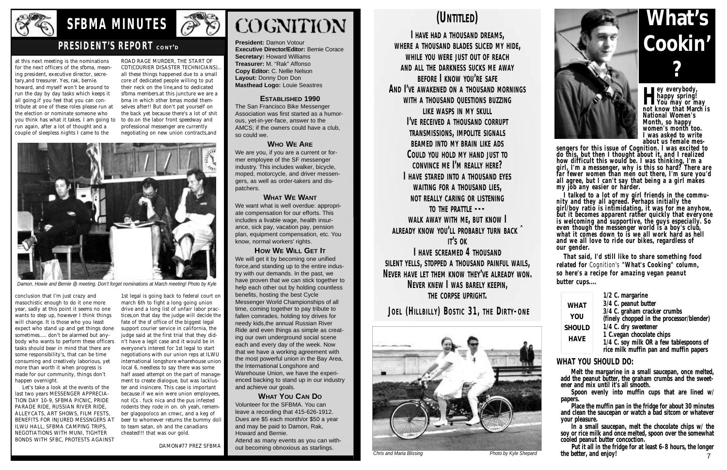

# SFBMA MINUTES **@**

### **PRESIDENT'S REPORT** CONT'D

**President:** Damon Votour **Executive Director/Editor: Bernie Corace Secretary:** Howard Williams **Treasurer:** M. "Rak" Affonso **Copy Editor: C. Nellie Nelson Layout:** Donny Don Don **Masthead Logo:** Louie Seastres

#### **ESTABLISHED 1990**

The San Francisco Bike Messenger Association was first started as a humorous, yet-in-yer-face, answer to the AMCS; if the owners could have a club, so could we.

#### **WHO WE ARE**

We are you, if you are a current or former employee of the SF messenger industry. This includes walker, bicycle, moped, motorcycle, and driver messengers, as well as order-takers and dispatchers.

#### **WHAT WE WANT**

We want what is well overdue: appropriate compensation for our efforts. This includes a livable wage, health insurance, sick pay, vacation pay, pension plan, equipment compensation, etc. You know, normal workers' rights.

We will get it by becoming one unified force,and standing up to the entire industry with our demands. In the past, we have proven that we can stick together to help each other out by holding countless benefits, hosting the best Cycle Messenger World Championships of all time, coming together to pay tribute to fallen comrades, holding toy drives for needy kids,the annual Russian River Ride and even things as simple as creating our own underground social scene each and every day of the week. Now that we have a working agreement with the most powerful union in the Bay Area, the International Longshore and Warehouse Union, we have the experienced backing to stand up in our industry and achieve our goals.

#### **HOW WE WILL GET IT**

**I HAVE HAD A T H O U S A N D D R E A M S, WHERE A THOUSAND BLADES SLICED MY HIDE, WHILE YOU WERE JUST OUT OF REACH A N D A L L T H E D A R K N E S S S U C K S M E A W AY B E F O R E I K N O W YO U'R E S A F E AND I'VE AWAKENED ON A THOUSAND MORNINGS WITH A THOUSAND QUESTIONS BUZZING LIKE WASPS IN MY SKULL I'VE RECEIVED A THOUSAND CORRUPT TRANSMISSIONS, IMPOLITE SIGNALS BEAMED INTO MY BRAIN LIKE ADS**  $C$  OULD YOU HOLD MY HAND JUST TO CONVINCE ME I'M REALLY HERE? **I HAVE STARED INTO A THOUSAND EYES WAITING FOR A THOUSAND LIES, NOT REALLY CARING OR LISTENING TO THE PRATTLE ---WALK AWAY WITH ME, BUT KNOW I A L R E A DY K N O W YO U'L L P R O B A B LY T U R N B A C K ˆ IT'S** OK **I HAVE SCREAMED 4 THOUSAND** 

**SILENT YELLS, STOPPED A THOUSAND PAINFUL WAILS, NEVER HAVE LET THEM KNOW THEY'VE ALREADY WON. NEVER KNEW I WAS BARELY KEEPIN. THE CORPSE UPRIGHT.** 

**JOEL (HILLBILLY) BOSTIC 31, THE DIRTY-ONE** 

#### **WHAT YOU CAN DO**

**H** happy spring!<br>You may or may<br>not know that March i **ey everybody, happy spring! not know that March i s National Women's Month, so happy women's month too. I was asked to write about us female mes-**

Volunteer for the SFBMA. You can leave a recording that 415-626-1912. Dues are \$5 each month/or \$50 a year and may be paid to Damon, Rak, Howard and Bernie.

Attend as many events as you can without becoming obnoxious as starlings.

sengers for this issue of Cognition. I was excited to **do this, but then I thought about it, and I realized how difficult this would be. I was thinking, I'm a girl, I'm a messenger, why is this so hard? There are far fewer women than men out there, I'm sure you'd all agree, but I can't say that being a a girl make s my job any easier or harder.** 

### **(UNTITLED)**

**I talked to a lot of my girl friends in the community and they all agreed. Perhaps initially the girl/boy ratio is intimidating, it was for me anyhow, but it becomes apparent rather quickly that everyone is welcoming and supportive, the guys especially. So even though the messenger world is a boy's club, what it comes down to is we all work hard as hell and we all love to ride our bikes, regardless of our gender.**

**That said, I'd still like to share something food** related for *Cognition's* "What's Cooking" column, **so here's a recipe for amazing vegan peanut butter cups....** 

#### **WHAT YOU SHOULD DO:**

**Melt the margarine in a small saucepan, once melted, add the peanut butter, the graham crumbs and the sweetener and mix until it's all smooth.** 

**Spoon evenly into muffin cups that are lined w/ papers.** 

**Place the muffin pan in the fridge for about 30 minutes and clean the saucepan or watch a bad sitcom or whatever your pleasure.** 

**In a small saucepan, melt the chocolate chips w/ the soy or rice milk and once melted, spoon over the somewhat cooled peanut butter concoction.** 

**Put it all in the fridge for at least 6-8 hours, the longer the better, and enjoy!**  7

**What's Cookin' ?**



at this next meeting is the nominations for the next officers of the sfbma, meaning president, executive director, secretary,and treasurer. Yes, rak, bernie. howard, and myself won't be around to run the day by day tasks which keeps it all going.if you feel that you can contribute at one of these roles please run at the election or nominate someone who you think has what it takes. I am going to to do.on the labor front speedway and run again, after a lot of thought and a couple of sleepless nights I came to the

conclusion that I'm just crazy and masochistic enough to do it one more year, sadly at this point it seems no one wants to step up, however I think things will change. It is those who you least expect who stand up and get things done sometimes..... don't be alarmed but anybody who wants to perform these officers tasks should bear in mind that there are some responsibility's, that can be time consuming and creatively laborious, yet more than worth it when progress is made for our community, things don't happen overnight.

|               | 1/2 C. margarine                          |
|---------------|-------------------------------------------|
| <b>WHAT</b>   | 3/4 C. peanut butter                      |
| <b>YOU</b>    | 3/4 C. graham cracker crumbs              |
|               | (finely chopped in the processor/blender) |
| <b>SHOULD</b> | 1/4 C. dry sweetener                      |
| <b>HAVE</b>   | 1 C.vegan chocolate chips                 |
|               | 1/4 C. soy milk OR a few tablespoons of   |
|               | rice milk muffin pan and muffin papers    |

Let's take a look at the events of the last two years MESSENGER APPRECIA-TION DAY 10-9, SFBMA PICNIC, PRIDE PARADE RIDE, RUSSIAN RIVER RIDE, ALLEYCATS, ART SHOWS, FILM FESTS, BENEFITS FOR INJURED MESSNGERS AT ILWU HALL, SFBMA CAMPING TRIPS, NEGOTIATIONS WITH MUNI, TIGHTER BONDS WITH SFBC, PROTESTS AGAINST

ROAD RAGE MURDER, THE START OF CDT(COURIER DISASTER TECHNICIANS). all these things happened due to a small core of dedicated people willing to put their neck on the line,and to dedicated sfbma members.at this juncture we are a bma in which other bmas model themselves after!! But don't pat yourself on the back yet because there's a lot of shit professional messenger are currently negotiating on new union contracts,and



1st legal is going back to federal court on march 6th to fight a long going union drive and a long list of unfair labor practices,on that day the judge will decide the fate of the sf office of the biggest legal support courier service in california, the judge said at the first trial that they didn't have a legit case and it would be in everyone's interest for 1st legal to start negotiations with our union reps at ILWU international longshore wharehouse union local 6, needless to say there was some half assed attempt on the part of management to create dialogue, but was lackluster and insincere. This case is important because if we win were union employees, not ICs . fuck nica and the pus infested rodents they rode in on. oh yeah, remember glagopoloco an cmwc, and a keg of beer to whomever returns the bummy doll to team satan, oh and the canadians cheated!!! that was our gold.

DAMON#77 PREZ SFBMA



*Damon, Howie and Bernie @ meeting. Don't forget nominations at March meeting! Photo by Kyle*



*Chris and Maria Blissing Photo by Kyle Shepard*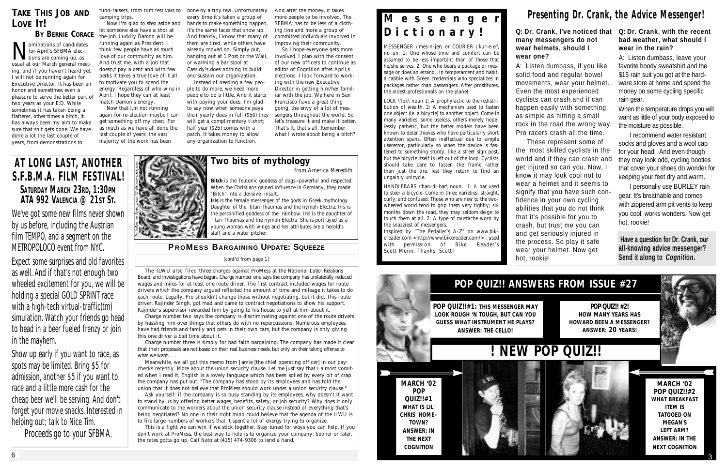#### **Q: Dr. Crank, I've noticed that many messengers do not wear helmets, should I wear one?**

A: Listen dumbass, if you like solid food and regular bowel movements, wear your helmet. Even the most experienced cyclists can crash and it can happen easily with something as simple as hitting a small rock in the road the wrong way. Pro racers crash all the time. These represent some of the most skilled cyclists in the world and if they can crash and get injured so can you. Now, I know it may look cool not to wear a helmet and it seems to signify that you have such confidence in your own cycling abilities that you do not think that it's possible for you to crash, but trust me you can and get seriously injured in the process. So play it safe wear your helmet. Now get hot, rookie!

I personally use BURLEY rain gear. It's breathable and comes with zippered arm pit vents to keep you cool; works wonders. Now get hot, rookie!

**Have a question for Dr. Crank, our all-knowing advice messenger? Send it along to** *Cognition***.** 

#### **Q: Dr. Crank, with the recent bad weather, what should I wear in the rain?**

A: Listen dumbass, leave your favorite hoody sweatshirt and the \$15 rain suit you got at the hardware store at home and spend the money on some cycling specific rain gear.

When the temperature drops you will want as little of your body exposed to the moisture as possible.

I recommend water resistant socks and gloves and a wool cap for your head. And even though they may look odd, cycling booties that cover your shoes do wonder for keeping your feet dry and warm.

### **POP QUIZ!! ANSWERS FROM ISSUE #27**

**POP QUIZ!! #2! HOW MANY YEARS HAS HOWARD BEEN A MESSENGER? ANSWER: 20 YEARS!**

Inspired by "The Pedaller's A-Z" on www.bikereader.com <http://www.bikereader.com/>, used with permission of *Bike Reader's* Scott Munn. Thanks, Scott!

> **MARCH '02 POP QUIZ!!#2 WHAT BREAKFAST ITEM IS TATOOED ON MEGAN'S LEFT ARM? ANSWER: IN THE NEXT COGNITION**

**POP QUIZ!!#1: THIS MESSENGER MAY LOOK ROUGH 'N TOUGH, BUT CAN YOU GUESS WHAT INSTRUMENT HE PLAYS? ANSWER: THE CELLO!**

### **M e s s e n g e r D i c t i o n a r y !**

MESSENGER \'mes-n-jer\ or COURIER \'kur-e-er\ no un. 1: One whose time and comfort can be assumed to be less important than of those that he/she serves. 2: One who bears a package or message or does an errand. In temperament and habit, a cabbie with Green credentials who specializes in packages rather than passengers. After prostitutes, the oldest professionals on the planet.

Now that I<sub>r</sub>m not running again for re-election maybe I can get something off my chest. For as much as we have all done the last couple of years, the vast majority of the work has been

LOCK \'lok\ noun 1: A prophylactic to the redistribution of wealth. 2: A mechanism used to fasten one object (ie. a bicycle) to another object. Come in many varieties, some useless, others merely hopelessly pathetic, but the better models have been known to deter thieves who have particularly short attention spans. Often ineffectual due to simple usererror, particularly so when the device is fastened to something sturdy, like a street sign post, but the bicycle itself is left out of the loop. Cyclists should take care to fasten the frame rather than just the tire, lest they return to find an ungainly unicycle.

So I hope everyone gets more involved. I plan with the consent of our new officers to continue as editor of Cognition after April,s elections. I look forward to working with the new Executive Director in getting him/her familiar with the job. We here in San Francisco have a great thing going, the envy of a lot of messengers throughout the world. So let's treasure it and make it better. That's it, that's all. Remember what I wrote about being a bitch?

> HANDLEBARS \'han-dl-bar\ noun. 1: A bar used to steer a bicycle. Come in three varieties: straight, curly, and confused. Those who are new to the twowheeled world tend to grip them very tightly; six months down the road, they may seldom deign to touch them at all. 2: A type of mustache worn by the snazziest of messengers.

### **TAKE THIS JOB AND LOVE IT!**

**BY BERNIE CORACE** M ominations of candidates<br>for April's SFBMA elec-<br>tions are coming up, as<br>usual at our March general meetominations of candidates for April's SFBMA elections are coming up, as ing, and if you haven't heard yet, I will not be running again for Executive Director. It has been an honor and sometimes even a pleasure to serve the better part of two years as your E.D. While sometimes it has taken being a flatterer, other times a bitch, it has always been my aim to make sure that shit gets done. We have done a lot the last couple of years, from demonstrations to

> This is a fight we can win if we stick together. Stay tuned for ways you can help. If you don't work at ProMess, the best way to help is to organize your company. Sooner or later, the rates gotta go up. Call Nato at (415) 474-9306 to lend a hand.

fund-raisers, from film festivals to camping trips.

Now I'm glad to step aside and let someone else have a shot at the job. Luckily Damon will be running again as President. I think few people have as much love of our community as him. And trust me, with a job that doesn,t pay a cent and with few perks it takes a true love of it all to motivate you to spend the energy. Regardless of who wins in April, I hope they can at least match Damon's energy.

done by a tiny few. Unfortunately every time it's taken a group of hands to make something happen, it's the same faces that show up. And frankly, I know that many of them are tired, while others have already moved on. Simply put, hanging out at 1 Post or the Wall, or warming a bar stool at Cassidy's does nothing to build and sustain our organization.

Instead of needing a few people to do more, we need more people to do a little. And it starts with paying your dues. I'm glad to say now when someone pays their yearly dues in full (\$50) they will get a complimentary t-shirt; half year (\$25) comes with a patch. It takes money to allow any organization to function.

And after the money, it takes more people to be involved. The SFBMA has to be less of a clothing line and more a group of committed individuals involved in improving their community.



## **! NEW POP QUIZ!!**



The ILWU also filed three charges against ProMess at the National Labor Relations Board, and investigations have begun. Charge number one says the company has unilaterally reduced wages and miles for at least one route driver. The first contract included wages for route drivers which the company argued reflected the amount of time and mileage it takes to do each route. Legally, Pro shouldn't change those without negotiating, but it did. This route driver, Rajinder Singh, got mad and came to contract negotiations to show his support. Rajinder's supervisor rewarded him by going to his house to yell at him about it.

Charge number two says the company is discriminating against one of the route drivers by hassling him over things that others do with no repercussions. Numerous employees have had friends and family and pets in their own cars, but the company is only giving this one driver a bad time about it.

Charge number three is simply for bad faith bargaining. The company has made it clear that their proposals are not based on their real business needs, but only on their taking offense to what we want.

Meanwhile, we all got this memo from Jamie [the chief operating officer] in our paychecks recently. More about the union security clause. Let me just say that I almost vomited when I read it. English is a lovely language which has been soiled by every bit of crap the company has put out. "The company has stood by its employees and has told the union that it does not believe that ProMess should work under a union security clause."

Ask yourself: if the company is so busy standing by its employees, why doesn't it want to stand by us by offering better wages, benefits, safety, or job security? Why does it only communicate to the workers about the union security clause instead of everything that's being negotiated? No one in their right mind could believe that the agenda of the ILWU is to fire large numbers of workers that it spent a lot of energy trying to organize.

*(cont'd from page 1)*

#### **P R OME S S BA R G A I N I N G UPDATE: SQUEEZE**

### **AT LONG LAST, ANOTHER S.F.B.M.A. FILM FESTIVAL! SATURDAY MARCH 23RD, 1:30PM ATA 992 VALENCIA @ 21ST ST.**

We've got some new films never shown by us before, including the Austrian film TEMPO, and a segment on the METROPOLOCO event from NYC.

Expect some surprises and old favorites as well. And if that's not enough two wheeled excitement for you, we will be holding a special GOLD SPRINT race with a high-tech virtual-traffic(tm) simulation. Watch your friends go head to head in a beer fueled frenzy or join in the mayhem.

Show up early if you want to race, as spots may be limited. Bring \$5 for admission, another \$5 if you want to race and a little more cash for the cheap beer we'll be serving. And don't forget your movie snacks. Interested in helping out; talk to Nice Tim.

Proceeds go to *your* SFBMA.



**Two bits of mythology** from America Meredith

**Bitch** is the Teutonic goddess of dogs—powerful and respected. When the Christians gained influence in Germany, they made "Bitch" into a derisive insult.

**Iris** is the female messenger of the gods in Greek mythology. Daughter of the titan Thaumas and the nymph Electra, Iris is the personified goddess of the rainbow. Iris is the daughter of Titan Thaumas and the nymph Electra. She is portrayed as a young woman with wings and her attributes are a herald's staff and a water pitcher.